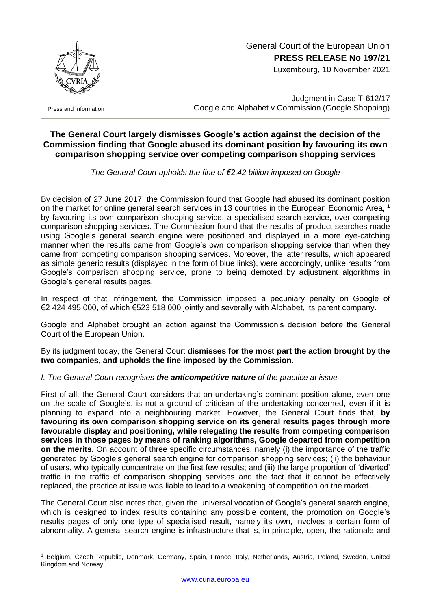

Press and Information

1

# General Court of the European Union **PRESS RELEASE No 197/21**

Luxembourg, 10 November 2021

Judgment in Case T-612/17 Google and Alphabet v Commission (Google Shopping)

## **The General Court largely dismisses Google's action against the decision of the Commission finding that Google abused its dominant position by favouring its own comparison shopping service over competing comparison shopping services**

*The General Court upholds the fine of €2.42 billion imposed on Google*

By decision of 27 June 2017, the Commission found that Google had abused its dominant position on the market for online general search services in 13 countries in the European Economic Area, 1 by favouring its own comparison shopping service, a specialised search service, over competing comparison shopping services. The Commission found that the results of product searches made using Google's general search engine were positioned and displayed in a more eye-catching manner when the results came from Google's own comparison shopping service than when they came from competing comparison shopping services. Moreover, the latter results, which appeared as simple generic results (displayed in the form of blue links), were accordingly, unlike results from Google's comparison shopping service, prone to being demoted by adjustment algorithms in Google's general results pages.

In respect of that infringement, the Commission imposed a pecuniary penalty on Google of €2 424 495 000, of which €523 518 000 jointly and severally with Alphabet, its parent company.

Google and Alphabet brought an action against the Commission's decision before the General Court of the European Union.

By its judgment today, the General Court **dismisses for the most part the action brought by the two companies, and upholds the fine imposed by the Commission.**

#### *I. The General Court recognises the anticompetitive nature of the practice at issue*

First of all, the General Court considers that an undertaking's dominant position alone, even one on the scale of Google's, is not a ground of criticism of the undertaking concerned, even if it is planning to expand into a neighbouring market. However, the General Court finds that, **by favouring its own comparison shopping service on its general results pages through more favourable display and positioning, while relegating the results from competing comparison services in those pages by means of ranking algorithms, Google departed from competition on the merits.** On account of three specific circumstances, namely (i) the importance of the traffic generated by Google's general search engine for comparison shopping services; (ii) the behaviour of users, who typically concentrate on the first few results; and (iii) the large proportion of 'diverted' traffic in the traffic of comparison shopping services and the fact that it cannot be effectively replaced, the practice at issue was liable to lead to a weakening of competition on the market.

The General Court also notes that, given the universal vocation of Google's general search engine, which is designed to index results containing any possible content, the promotion on Google's results pages of only one type of specialised result, namely its own, involves a certain form of abnormality. A general search engine is infrastructure that is, in principle, open, the rationale and

<sup>1</sup> Belgium, Czech Republic, Denmark, Germany, Spain, France, Italy, Netherlands, Austria, Poland, Sweden, United Kingdom and Norway.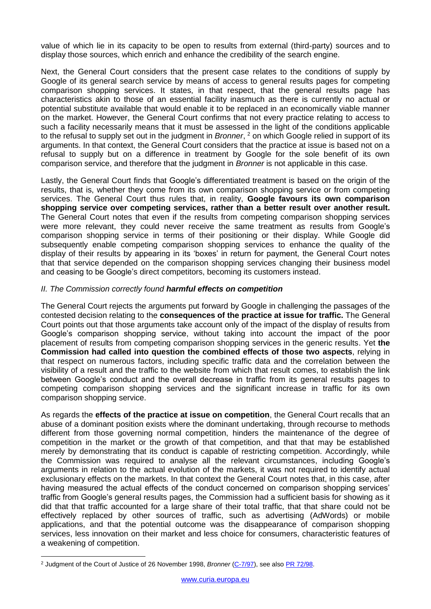value of which lie in its capacity to be open to results from external (third-party) sources and to display those sources, which enrich and enhance the credibility of the search engine.

Next, the General Court considers that the present case relates to the conditions of supply by Google of its general search service by means of access to general results pages for competing comparison shopping services. It states, in that respect, that the general results page has characteristics akin to those of an essential facility inasmuch as there is currently no actual or potential substitute available that would enable it to be replaced in an economically viable manner on the market. However, the General Court confirms that not every practice relating to access to such a facility necessarily means that it must be assessed in the light of the conditions applicable to the refusal to supply set out in the judgment in *Bronner*, <sup>2</sup> on which Google relied in support of its arguments. In that context, the General Court considers that the practice at issue is based not on a refusal to supply but on a difference in treatment by Google for the sole benefit of its own comparison service, and therefore that the judgment in *Bronner* is not applicable in this case.

Lastly, the General Court finds that Google's differentiated treatment is based on the origin of the results, that is, whether they come from its own comparison shopping service or from competing services. The General Court thus rules that, in reality, **Google favours its own comparison shopping service over competing services, rather than a better result over another result.**  The General Court notes that even if the results from competing comparison shopping services were more relevant, they could never receive the same treatment as results from Google's comparison shopping service in terms of their positioning or their display. While Google did subsequently enable competing comparison shopping services to enhance the quality of the display of their results by appearing in its 'boxes' in return for payment, the General Court notes that that service depended on the comparison shopping services changing their business model and ceasing to be Google's direct competitors, becoming its customers instead.

#### *II. The Commission correctly found harmful effects on competition*

The General Court rejects the arguments put forward by Google in challenging the passages of the contested decision relating to the **consequences of the practice at issue for traffic.** The General Court points out that those arguments take account only of the impact of the display of results from Google's comparison shopping service, without taking into account the impact of the poor placement of results from competing comparison shopping services in the generic results. Yet **the Commission had called into question the combined effects of those two aspects**, relying in that respect on numerous factors, including specific traffic data and the correlation between the visibility of a result and the traffic to the website from which that result comes, to establish the link between Google's conduct and the overall decrease in traffic from its general results pages to competing comparison shopping services and the significant increase in traffic for its own comparison shopping service.

As regards the **effects of the practice at issue on competition**, the General Court recalls that an abuse of a dominant position exists where the dominant undertaking, through recourse to methods different from those governing normal competition, hinders the maintenance of the degree of competition in the market or the growth of that competition, and that that may be established merely by demonstrating that its conduct is capable of restricting competition. Accordingly, while the Commission was required to analyse all the relevant circumstances, including Google's arguments in relation to the actual evolution of the markets, it was not required to identify actual exclusionary effects on the markets. In that context the General Court notes that, in this case, after having measured the actual effects of the conduct concerned on comparison shopping services' traffic from Google's general results pages, the Commission had a sufficient basis for showing as it did that that traffic accounted for a large share of their total traffic, that that share could not be effectively replaced by other sources of traffic, such as advertising (AdWords) or mobile applications, and that the potential outcome was the disappearance of comparison shopping services, less innovation on their market and less choice for consumers, characteristic features of a weakening of competition.

<sup>&</sup>lt;u>.</u> <sup>2</sup> Judgment of the Court of Justice of 26 November 1998, *Bronner* [\(C-7/97\)](http://curia.europa.eu/juris/documents.jsf?num=C-7/97), see also PR [72/98.](https://curia.europa.eu/fr/actu/communiques/cp98/cp9872fr.htm)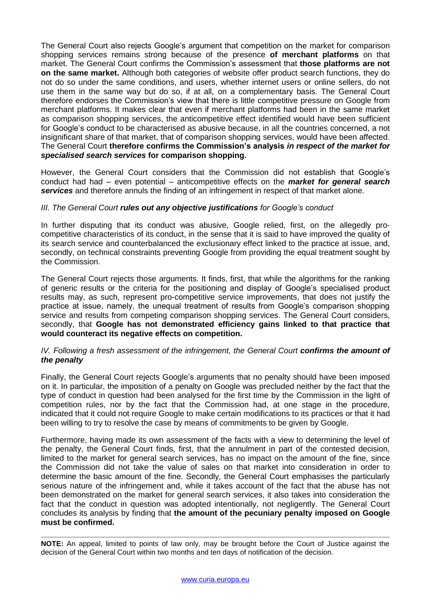The General Court also rejects Google's argument that competition on the market for comparison shopping services remains strong because of the presence **of merchant platforms** on that market. The General Court confirms the Commission's assessment that **those platforms are not on the same market.** Although both categories of website offer product search functions, they do not do so under the same conditions, and users, whether internet users or online sellers, do not use them in the same way but do so, if at all, on a complementary basis. The General Court therefore endorses the Commission's view that there is little competitive pressure on Google from merchant platforms. It makes clear that even if merchant platforms had been in the same market as comparison shopping services, the anticompetitive effect identified would have been sufficient for Google's conduct to be characterised as abusive because, in all the countries concerned, a not insignificant share of that market, that of comparison shopping services, would have been affected. The General Court **therefore confirms the Commission's analysis** *in respect of the market for specialised search services* **for comparison shopping.**

However, the General Court considers that the Commission did not establish that Google's conduct had had – even potential – anticompetitive effects on the *market for general search services* and therefore annuls the finding of an infringement in respect of that market alone.

### *III. The General Court rules out any objective justifications for Google's conduct*

In further disputing that its conduct was abusive, Google relied, first, on the allegedly procompetitive characteristics of its conduct, in the sense that it is said to have improved the quality of its search service and counterbalanced the exclusionary effect linked to the practice at issue, and, secondly, on technical constraints preventing Google from providing the equal treatment sought by the Commission.

The General Court rejects those arguments. It finds, first, that while the algorithms for the ranking of generic results or the criteria for the positioning and display of Google's specialised product results may, as such, represent pro-competitive service improvements, that does not justify the practice at issue, namely, the unequal treatment of results from Google's comparison shopping service and results from competing comparison shopping services. The General Court considers, secondly, that **Google has not demonstrated efficiency gains linked to that practice that would counteract its negative effects on competition.**

#### *IV. Following a fresh assessment of the infringement, the General Court confirms the amount of the penalty*

Finally, the General Court rejects Google's arguments that no penalty should have been imposed on it. In particular, the imposition of a penalty on Google was precluded neither by the fact that the type of conduct in question had been analysed for the first time by the Commission in the light of competition rules, nor by the fact that the Commission had, at one stage in the procedure, indicated that it could not require Google to make certain modifications to its practices or that it had been willing to try to resolve the case by means of commitments to be given by Google.

Furthermore, having made its own assessment of the facts with a view to determining the level of the penalty, the General Court finds, first, that the annulment in part of the contested decision, limited to the market for general search services, has no impact on the amount of the fine, since the Commission did not take the value of sales on that market into consideration in order to determine the basic amount of the fine. Secondly, the General Court emphasises the particularly serious nature of the infringement and, while it takes account of the fact that the abuse has not been demonstrated on the market for general search services, it also takes into consideration the fact that the conduct in question was adopted intentionally, not negligently. The General Court concludes its analysis by finding that **the amount of the pecuniary penalty imposed on Google must be confirmed.**

**NOTE:** An appeal, limited to points of law only, may be brought before the Court of Justice against the decision of the General Court within two months and ten days of notification of the decision.